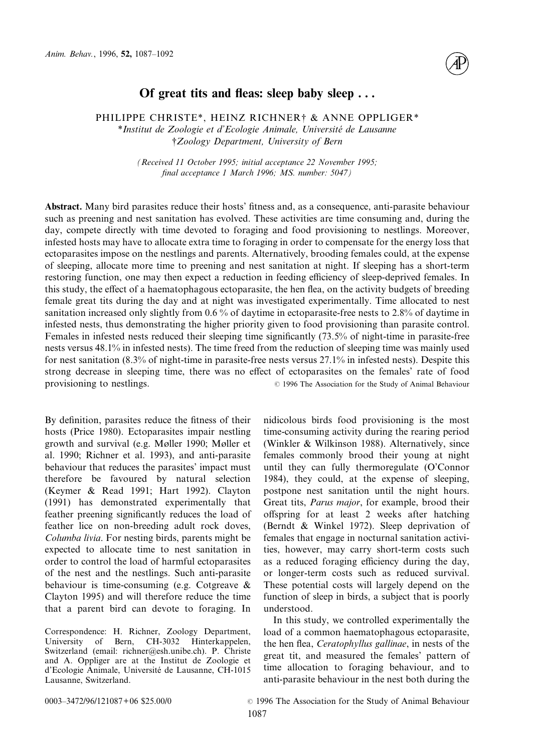

# **Of great tits and fleas: sleep baby sleep . . .**

## PHILIPPE CHRISTE\*, HEINZ RICHNER† & ANNE OPPLIGER\*

\**Institut de Zoologie et d'Ecologie Animale, Université de Lausanne* †*Zoology Department, University of Bern*

*(Received 11 October 1995; initial acceptance 22 November 1995; final acceptance 1 March 1996; MS. number: 5047)*

**Abstract.** Many bird parasites reduce their hosts' fitness and, as a consequence, anti-parasite behaviour such as preening and nest sanitation has evolved. These activities are time consuming and, during the day, compete directly with time devoted to foraging and food provisioning to nestlings. Moreover, infested hosts may have to allocate extra time to foraging in order to compensate for the energy loss that ectoparasites impose on the nestlings and parents. Alternatively, brooding females could, at the expense of sleeping, allocate more time to preening and nest sanitation at night. If sleeping has a short-term restoring function, one may then expect a reduction in feeding efficiency of sleep-deprived females. In this study, the effect of a haematophagous ectoparasite, the hen flea, on the activity budgets of breeding female great tits during the day and at night was investigated experimentally. Time allocated to nest sanitation increased only slightly from 0.6 % of daytime in ectoparasite-free nests to 2.8% of daytime in infested nests, thus demonstrating the higher priority given to food provisioning than parasite control. Females in infested nests reduced their sleeping time significantly (73.5% of night-time in parasite-free nests versus 48.1% in infested nests). The time freed from the reduction of sleeping time was mainly used for nest sanitation (8.3% of night-time in parasite-free nests versus 27.1% in infested nests). Despite this strong decrease in sleeping time, there was no effect of ectoparasites on the females' rate of food provisioning to nestlings.  $\degree$  1996 The Association for the Study of Animal Behaviour

By definition, parasites reduce the fitness of their hosts (Price 1980). Ectoparasites impair nestling growth and survival (e.g. Møller 1990; Møller et al. 1990; Richner et al. 1993), and anti-parasite behaviour that reduces the parasites' impact must therefore be favoured by natural selection (Keymer & Read 1991; Hart 1992). Clayton (1991) has demonstrated experimentally that feather preening significantly reduces the load of feather lice on non-breeding adult rock doves, *Columba livia*. For nesting birds, parents might be expected to allocate time to nest sanitation in order to control the load of harmful ectoparasites of the nest and the nestlings. Such anti-parasite behaviour is time-consuming (e.g. Cotgreave & Clayton 1995) and will therefore reduce the time that a parent bird can devote to foraging. In

Correspondence: H. Richner, Zoology Department, University of Bern, CH-3032 Hinterkappelen, Switzerland (email: richner@esh.unibe.ch). P. Christe and A. Oppliger are at the Institut de Zoologie et d'Ecologie Animale, Université de Lausanne, CH-1015 Lausanne, Switzerland.

nidicolous birds food provisioning is the most time-consuming activity during the rearing period (Winkler & Wilkinson 1988). Alternatively, since females commonly brood their young at night until they can fully thermoregulate (O'Connor 1984), they could, at the expense of sleeping, postpone nest sanitation until the night hours. Great tits, *Parus major*, for example, brood their offspring for at least 2 weeks after hatching (Berndt & Winkel 1972). Sleep deprivation of females that engage in nocturnal sanitation activities, however, may carry short-term costs such as a reduced foraging efficiency during the day, or longer-term costs such as reduced survival. These potential costs will largely depend on the function of sleep in birds, a subject that is poorly understood.

In this study, we controlled experimentally the load of a common haematophagous ectoparasite, the hen flea, *Ceratophyllus gallinae*, in nests of the great tit, and measured the females' pattern of time allocation to foraging behaviour, and to anti-parasite behaviour in the nest both during the

0003–3472/96/121087+06 \$25.00/0 <sup>©</sup> 1996 The Association for the Study of Animal Behaviour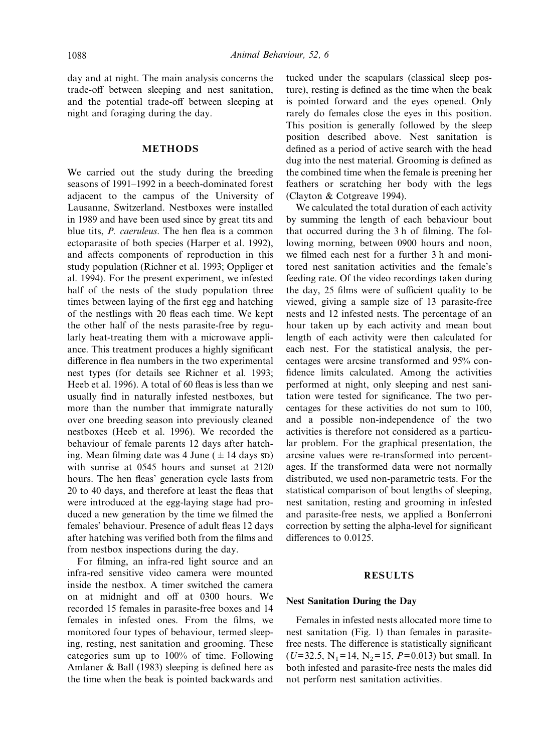day and at night. The main analysis concerns the trade-off between sleeping and nest sanitation, and the potential trade-off between sleeping at night and foraging during the day.

### **METHODS**

We carried out the study during the breeding seasons of 1991–1992 in a beech-dominated forest adjacent to the campus of the University of Lausanne, Switzerland. Nestboxes were installed in 1989 and have been used since by great tits and blue tits, *P. caeruleus*. The hen flea is a common ectoparasite of both species (Harper et al. 1992), and affects components of reproduction in this study population (Richner et al. 1993; Oppliger et al. 1994). For the present experiment, we infested half of the nests of the study population three times between laying of the first egg and hatching of the nestlings with 20 fleas each time. We kept the other half of the nests parasite-free by regularly heat-treating them with a microwave appliance. This treatment produces a highly significant difference in flea numbers in the two experimental nest types (for details see Richner et al. 1993; Heeb et al. 1996). A total of 60 fleas is less than we usually find in naturally infested nestboxes, but more than the number that immigrate naturally over one breeding season into previously cleaned nestboxes (Heeb et al. 1996). We recorded the behaviour of female parents 12 days after hatching. Mean filming date was 4 June ( $\pm$  14 days sp) with sunrise at 0545 hours and sunset at 2120 hours. The hen fleas' generation cycle lasts from 20 to 40 days, and therefore at least the fleas that were introduced at the egg-laying stage had produced a new generation by the time we filmed the females' behaviour. Presence of adult fleas 12 days after hatching was verified both from the films and from nestbox inspections during the day.

For filming, an infra-red light source and an infra-red sensitive video camera were mounted inside the nestbox. A timer switched the camera on at midnight and off at 0300 hours. We recorded 15 females in parasite-free boxes and 14 females in infested ones. From the films, we monitored four types of behaviour, termed sleeping, resting, nest sanitation and grooming. These categories sum up to 100% of time. Following Amlaner & Ball (1983) sleeping is defined here as the time when the beak is pointed backwards and tucked under the scapulars (classical sleep posture), resting is defined as the time when the beak is pointed forward and the eyes opened. Only rarely do females close the eyes in this position. This position is generally followed by the sleep position described above. Nest sanitation is defined as a period of active search with the head dug into the nest material. Grooming is defined as the combined time when the female is preening her feathers or scratching her body with the legs (Clayton & Cotgreave 1994).

We calculated the total duration of each activity by summing the length of each behaviour bout that occurred during the 3 h of filming. The following morning, between 0900 hours and noon, we filmed each nest for a further 3 h and monitored nest sanitation activities and the female's feeding rate. Of the video recordings taken during the day, 25 films were of sufficient quality to be viewed, giving a sample size of 13 parasite-free nests and 12 infested nests. The percentage of an hour taken up by each activity and mean bout length of each activity were then calculated for each nest. For the statistical analysis, the percentages were arcsine transformed and 95% confidence limits calculated. Among the activities performed at night, only sleeping and nest sanitation were tested for significance. The two percentages for these activities do not sum to 100, and a possible non-independence of the two activities is therefore not considered as a particular problem. For the graphical presentation, the arcsine values were re-transformed into percentages. If the transformed data were not normally distributed, we used non-parametric tests. For the statistical comparison of bout lengths of sleeping, nest sanitation, resting and grooming in infested and parasite-free nests, we applied a Bonferroni correction by setting the alpha-level for significant differences to 0.0125.

## **RESULTS**

#### **Nest Sanitation During the Day**

Females in infested nests allocated more time to nest sanitation (Fig. 1) than females in parasitefree nests. The difference is statistically significant  $(U=32.5, N_1=14, N_2=15, P=0.013)$  but small. In both infested and parasite-free nests the males did not perform nest sanitation activities.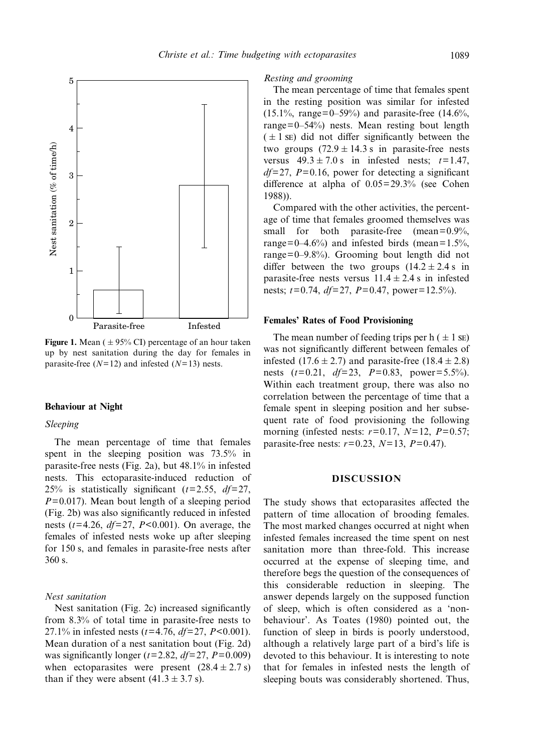

**Figure 1.** Mean ( $\pm$  95% CI) percentage of an hour taken up by nest sanitation during the day for females in parasite-free (*N*=12) and infested (*N*=13) nests.

#### **Behaviour at Night**

#### *Sleeping*

The mean percentage of time that females spent in the sleeping position was 73.5% in parasite-free nests (Fig. 2a), but 48.1% in infested nests. This ectoparasite-induced reduction of 25% is statistically significant (*t*=2.55, *df*=27, *P*=0.017). Mean bout length of a sleeping period (Fig. 2b) was also significantly reduced in infested nests (*t*=4.26, *df*=27, *P*<0.001). On average, the females of infested nests woke up after sleeping for 150 s, and females in parasite-free nests after 360 s.

## *Nest sanitation*

Nest sanitation (Fig. 2c) increased significantly from 8.3% of total time in parasite-free nests to 27.1% in infested nests (*t*=4.76, *df*=27, *P*<0.001). Mean duration of a nest sanitation bout (Fig. 2d) was significantly longer ( $t=2.82$ ,  $df=27$ ,  $P=0.009$ ) when ectoparasites were present  $(28.4 \pm 2.7 \text{ s})$ than if they were absent  $(41.3 \pm 3.7 \text{ s})$ .

#### *Resting and grooming*

The mean percentage of time that females spent in the resting position was similar for infested  $(15.1\%, \text{ range}=0-59\%)$  and parasite-free  $(14.6\%, \text{ range}=0.00)$ range=0–54%) nests. Mean resting bout length  $(±1$  se) did not differ significantly between the two groups  $(72.9 \pm 14.3 \text{ s}$  in parasite-free nests versus  $49.3 \pm 7.0$  s in infested nests;  $t=1.47$ , *df*=27, *P*=0.16, power for detecting a significant difference at alpha of 0.05=29.3% (see Cohen 1988)).

Compared with the other activities, the percentage of time that females groomed themselves was small for both parasite-free (mean=0.9%, range=0–4.6%) and infested birds (mean=1.5%, range=0–9.8%). Grooming bout length did not differ between the two groups  $(14.2 \pm 2.4 s)$  in parasite-free nests versus  $11.4 \pm 2.4$  s in infested nests; *t*=0.74, *df*=27, *P*=0.47, power=12.5%).

#### **Females' Rates of Food Provisioning**

The mean number of feeding trips per h  $( \pm 1 \text{ s})$ was not significantly different between females of infested  $(17.6 \pm 2.7)$  and parasite-free  $(18.4 \pm 2.8)$ nests (*t*=0.21, *df*=23, *P*=0.83, power=5.5%). Within each treatment group, there was also no correlation between the percentage of time that a female spent in sleeping position and her subsequent rate of food provisioning the following morning (infested nests: *r*=0.17, *N*=12, *P*=0.57; parasite-free nests: *r*=0.23, *N*=13, *P*=0.47).

### **DISCUSSION**

The study shows that ectoparasites affected the pattern of time allocation of brooding females. The most marked changes occurred at night when infested females increased the time spent on nest sanitation more than three-fold. This increase occurred at the expense of sleeping time, and therefore begs the question of the consequences of this considerable reduction in sleeping. The answer depends largely on the supposed function of sleep, which is often considered as a 'nonbehaviour'. As Toates (1980) pointed out, the function of sleep in birds is poorly understood, although a relatively large part of a bird's life is devoted to this behaviour. It is interesting to note that for females in infested nests the length of sleeping bouts was considerably shortened. Thus,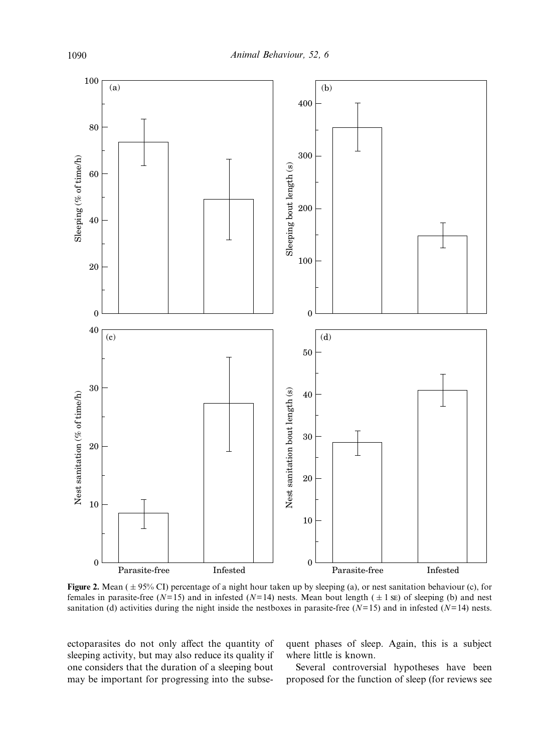

**Figure 2.** Mean ( $\pm$  95% CI) percentage of a night hour taken up by sleeping (a), or nest sanitation behaviour (c), for females in parasite-free ( $N=15$ ) and in infested ( $N=14$ ) nests. Mean bout length ( $\pm 1$  su) of sleeping (b) and nest sanitation (d) activities during the night inside the nestboxes in parasite-free  $(N=15)$  and in infested  $(N=14)$  nests.

ectoparasites do not only affect the quantity of sleeping activity, but may also reduce its quality if one considers that the duration of a sleeping bout may be important for progressing into the subsequent phases of sleep. Again, this is a subject where little is known.

Several controversial hypotheses have been proposed for the function of sleep (for reviews see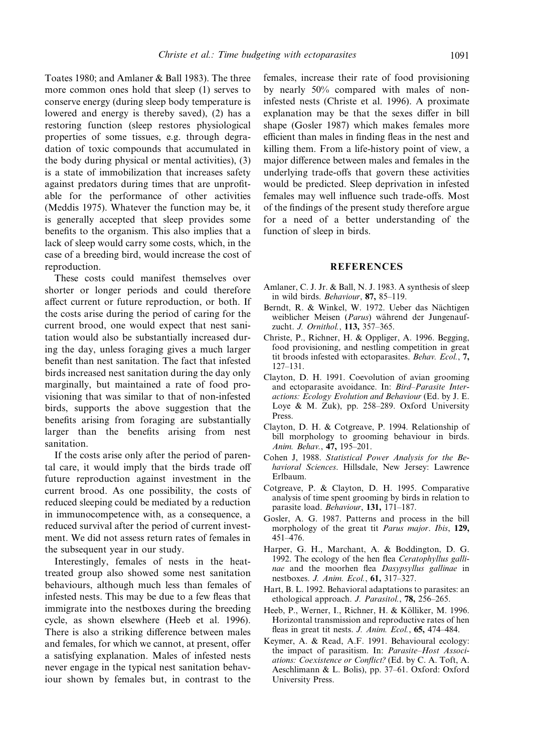Toates 1980; and Amlaner & Ball 1983). The three more common ones hold that sleep (1) serves to conserve energy (during sleep body temperature is lowered and energy is thereby saved), (2) has a restoring function (sleep restores physiological properties of some tissues, e.g. through degradation of toxic compounds that accumulated in the body during physical or mental activities), (3) is a state of immobilization that increases safety against predators during times that are unprofitable for the performance of other activities (Meddis 1975). Whatever the function may be, it is generally accepted that sleep provides some benefits to the organism. This also implies that a lack of sleep would carry some costs, which, in the case of a breeding bird, would increase the cost of reproduction.

These costs could manifest themselves over shorter or longer periods and could therefore affect current or future reproduction, or both. If the costs arise during the period of caring for the current brood, one would expect that nest sanitation would also be substantially increased during the day, unless foraging gives a much larger benefit than nest sanitation. The fact that infested birds increased nest sanitation during the day only marginally, but maintained a rate of food provisioning that was similar to that of non-infested birds, supports the above suggestion that the benefits arising from foraging are substantially larger than the benefits arising from nest sanitation.

If the costs arise only after the period of parental care, it would imply that the birds trade off future reproduction against investment in the current brood. As one possibility, the costs of reduced sleeping could be mediated by a reduction in immunocompetence with, as a consequence, a reduced survival after the period of current investment. We did not assess return rates of females in the subsequent year in our study.

Interestingly, females of nests in the heattreated group also showed some nest sanitation behaviours, although much less than females of infested nests. This may be due to a few fleas that immigrate into the nestboxes during the breeding cycle, as shown elsewhere (Heeb et al. 1996). There is also a striking difference between males and females, for which we cannot, at present, offer a satisfying explanation. Males of infested nests never engage in the typical nest sanitation behaviour shown by females but, in contrast to the females, increase their rate of food provisioning by nearly 50% compared with males of noninfested nests (Christe et al. 1996). A proximate explanation may be that the sexes differ in bill shape (Gosler 1987) which makes females more efficient than males in finding fleas in the nest and killing them. From a life-history point of view, a major difference between males and females in the underlying trade-offs that govern these activities would be predicted. Sleep deprivation in infested females may well influence such trade-offs. Most of the findings of the present study therefore argue for a need of a better understanding of the function of sleep in birds.

## **REFERENCES**

- Amlaner, C. J. Jr. & Ball, N. J. 1983. A synthesis of sleep in wild birds. *Behaviour*, **87,** 85–119.
- Berndt, R. & Winkel, W. 1972. Ueber das Nächtigen weiblicher Meisen (*Parus*) während der Jungenaufzucht. *J. Ornithol.*, **113,** 357–365.
- Christe, P., Richner, H. & Oppliger, A. 1996. Begging, food provisioning, and nestling competition in great tit broods infested with ectoparasites. *Behav. Ecol.*, **7,** 127–131.
- Clayton, D. H. 1991. Coevolution of avian grooming and ectoparasite avoidance. In: *Bird–Parasite Interactions: Ecology Evolution and Behaviour* (Ed. by J. E. Loye & M. Zuk), pp. 258–289. Oxford University Press.
- Clayton, D. H. & Cotgreave, P. 1994. Relationship of bill morphology to grooming behaviour in birds. *Anim. Behav.*, **47,** 195–201.
- Cohen J, 1988. *Statistical Power Analysis for the Behavioral Sciences*. Hillsdale, New Jersey: Lawrence Erlbaum.
- Cotgreave, P. & Clayton, D. H. 1995. Comparative analysis of time spent grooming by birds in relation to parasite load. *Behaviour*, **131,** 171–187.
- Gosler, A. G. 1987. Patterns and process in the bill morphology of the great tit *Parus major*. *Ibis*, **129,** 451–476.
- Harper, G. H., Marchant, A. & Boddington, D. G. 1992. The ecology of the hen flea *Ceratophyllus gallinae* and the moorhen flea *Dasypsyllus gallinae* in nestboxes. *J. Anim. Ecol.*, **61,** 317–327.
- Hart, B. L. 1992. Behavioral adaptations to parasites: an ethological approach. *J. Parasitol.*, **78,** 256–265.
- Heeb, P., Werner, I., Richner, H. & Kölliker, M. 1996. Horizontal transmission and reproductive rates of hen fleas in great tit nests. *J. Anim. Ecol.*, **65,** 474–484.
- Keymer, A. & Read, A.F. 1991. Behavioural ecology: the impact of parasitism. In: *Parasite–Host Associations: Coexistence or Conflict?* (Ed. by C. A. Toft, A. Aeschlimann & L. Bolis), pp. 37–61. Oxford: Oxford University Press.